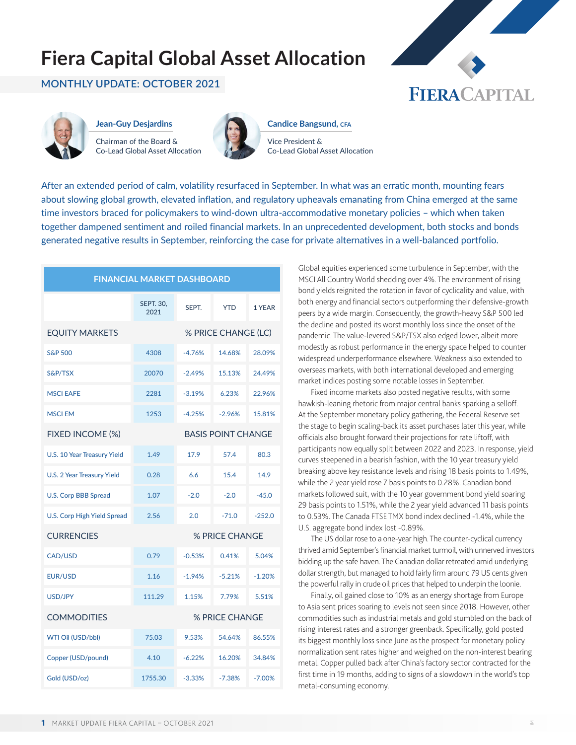### **Fiera Capital Global Asset Allocation**

#### **MONTHLY UPDATE: OCTOBER 2021**





**Jean-Guy Desjardins** Chairman of the Board & Co-Lead Global Asset Allocation



**Candice Bangsund, cfa**

Vice President & Co-Lead Global Asset Allocation

After an extended period of calm, volatility resurfaced in September. In what was an erratic month, mounting fears about slowing global growth, elevated inflation, and regulatory upheavals emanating from China emerged at the same time investors braced for policymakers to wind-down ultra-accommodative monetary policies – which when taken together dampened sentiment and roiled financial markets. In an unprecedented development, both stocks and bonds generated negative results in September, reinforcing the case for private alternatives in a well-balanced portfolio.

| <b>FINANCIAL MARKET DASHBOARD</b>  |                          |          |                           |          |  |
|------------------------------------|--------------------------|----------|---------------------------|----------|--|
|                                    | <b>SEPT. 30,</b><br>2021 | SEPT.    | <b>YTD</b>                | 1 YEAR   |  |
| <b>EQUITY MARKETS</b>              | % PRICE CHANGE (LC)      |          |                           |          |  |
| <b>S&amp;P 500</b>                 | 4308                     | $-4.76%$ | 14.68%                    | 28.09%   |  |
| S&P/TSX                            | 20070                    | $-2.49%$ | 15.13%                    | 24.49%   |  |
| <b>MSCI EAFE</b>                   | 2281                     | $-3.19%$ | 6.23%                     | 22.96%   |  |
| <b>MSCIEM</b>                      | 1253                     | $-4.25%$ | $-2.96%$                  | 15.81%   |  |
| FIXED INCOME (%)                   |                          |          | <b>BASIS POINT CHANGE</b> |          |  |
| U.S. 10 Year Treasury Yield        | 1.49                     | 17.9     | 57.4                      | 80.3     |  |
| U.S. 2 Year Treasury Yield         | 0.28                     | 6.6      | 15.4                      | 14.9     |  |
| <b>U.S. Corp BBB Spread</b>        | 1.07                     | $-2.0$   | $-2.0$                    | $-45.0$  |  |
| <b>U.S. Corp High Yield Spread</b> | 2.56                     | 2.0      | $-71.0$                   | $-252.0$ |  |
| <b>CURRENCIES</b>                  | % PRICE CHANGE           |          |                           |          |  |
| <b>CAD/USD</b>                     | 0.79                     | $-0.53%$ | 0.41%                     | 5.04%    |  |
| <b>EUR/USD</b>                     | 1.16                     | $-1.94%$ | $-5.21%$                  | $-1.20%$ |  |
| <b>USD/JPY</b>                     | 111.29                   | 1.15%    | 7.79%                     | 5.51%    |  |
| <b>COMMODITIES</b>                 | % PRICE CHANGE           |          |                           |          |  |
| WTI Oil (USD/bbl)                  | 75.03                    | 9.53%    | 54.64%                    | 86.55%   |  |
| Copper (USD/pound)                 | 4.10                     | $-6.22%$ | 16.20%                    | 34.84%   |  |
| Gold (USD/oz)                      | 1755.30                  | $-3.33%$ | $-7.38%$                  | $-7.00%$ |  |

Global equities experienced some turbulence in September, with the MSCI All Country World shedding over 4%. The environment of rising bond yields reignited the rotation in favor of cyclicality and value, with both energy and financial sectors outperforming their defensive-growth peers by a wide margin. Consequently, the growth-heavy S&P 500 led the decline and posted its worst monthly loss since the onset of the pandemic. The value-levered S&P/TSX also edged lower, albeit more modestly as robust performance in the energy space helped to counter widespread underperformance elsewhere. Weakness also extended to overseas markets, with both international developed and emerging market indices posting some notable losses in September.

Fixed income markets also posted negative results, with some hawkish-leaning rhetoric from major central banks sparking a selloff. At the September monetary policy gathering, the Federal Reserve set the stage to begin scaling-back its asset purchases later this year, while officials also brought forward their projections for rate liftoff, with participants now equally split between 2022 and 2023. In response, yield curves steepened in a bearish fashion, with the 10 year treasury yield breaking above key resistance levels and rising 18 basis points to 1.49%, while the 2 year yield rose 7 basis points to 0.28%. Canadian bond markets followed suit, with the 10 year government bond yield soaring 29 basis points to 1.51%, while the 2 year yield advanced 11 basis points to 0.53%. The Canada FTSE TMX bond index declined -1.4%, while the U.S. aggregate bond index lost -0.89%.

The US dollar rose to a one-year high. The counter-cyclical currency thrived amid September's financial market turmoil, with unnerved investors bidding up the safe haven. The Canadian dollar retreated amid underlying dollar strength, but managed to hold fairly firm around 79 US cents given the powerful rally in crude oil prices that helped to underpin the loonie.

Finally, oil gained close to 10% as an energy shortage from Europe to Asia sent prices soaring to levels not seen since 2018. However, other commodities such as industrial metals and gold stumbled on the back of rising interest rates and a stronger greenback. Specifically, gold posted its biggest monthly loss since June as the prospect for monetary policy normalization sent rates higher and weighed on the non-interest bearing metal. Copper pulled back after China's factory sector contracted for the first time in 19 months, adding to signs of a slowdown in the world's top metal-consuming economy.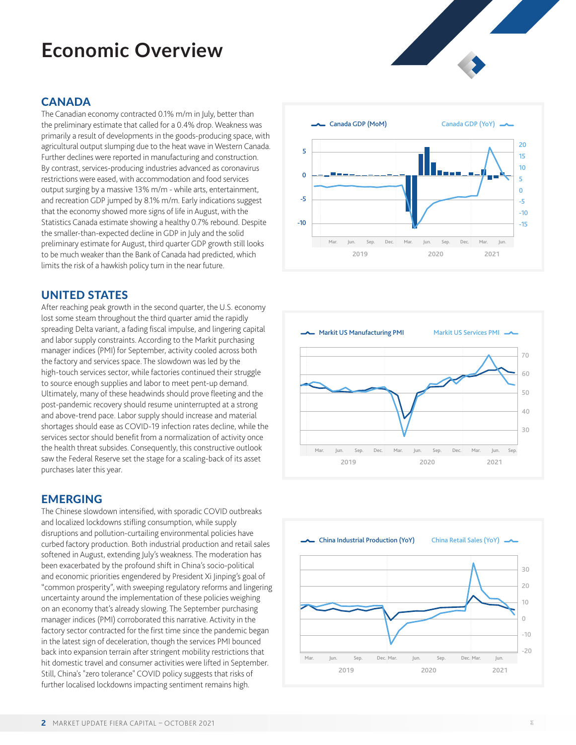# **Economic Overview**

#### **CANADA**

The Canadian economy contracted 0.1% m/m in July, better than the preliminary estimate that called for a 0.4% drop. Weakness was primarily a result of developments in the goods-producing space, with agricultural output slumping due to the heat wave in Western Canada. Further declines were reported in manufacturing and construction. By contrast, services-producing industries advanced as coronavirus restrictions were eased, with accommodation and food services output surging by a massive 13% m/m - while arts, entertainment, and recreation GDP jumped by 8.1% m/m. Early indications suggest that the economy showed more signs of life in August, with the Statistics Canada estimate showing a healthy 0.7% rebound. Despite the smaller-than-expected decline in GDP in July and the solid preliminary estimate for August, third quarter GDP growth still looks to be much weaker than the Bank of Canada had predicted, which limits the risk of a hawkish policy turn in the near future.

#### UNITED STATES

After reaching peak growth in the second quarter, the U.S. economy lost some steam throughout the third quarter amid the rapidly spreading Delta variant, a fading fiscal impulse, and lingering capital and labor supply constraints. According to the Markit purchasing manager indices (PMI) for September, activity cooled across both the factory and services space. The slowdown was led by the high-touch services sector, while factories continued their struggle to source enough supplies and labor to meet pent-up demand. Ultimately, many of these headwinds should prove fleeting and the post-pandemic recovery should resume uninterrupted at a strong and above-trend pace. Labor supply should increase and material shortages should ease as COVID-19 infection rates decline, while the services sector should benefit from a normalization of activity once the health threat subsides. Consequently, this constructive outlook saw the Federal Reserve set the stage for a scaling-back of its asset purchases later this year.

#### EMERGING

The Chinese slowdown intensified, with sporadic COVID outbreaks and localized lockdowns stifling consumption, while supply disruptions and pollution-curtailing environmental policies have curbed factory production. Both industrial production and retail sales softened in August, extending July's weakness. The moderation has been exacerbated by the profound shift in China's socio-political and economic priorities engendered by President Xi Jinping's goal of "common prosperity", with sweeping regulatory reforms and lingering uncertainty around the implementation of these policies weighing on an economy that's already slowing. The September purchasing manager indices (PMI) corroborated this narrative. Activity in the factory sector contracted for the first time since the pandemic began in the latest sign of deceleration, though the services PMI bounced back into expansion terrain after stringent mobility restrictions that hit domestic travel and consumer activities were lifted in September. Still, China's "zero tolerance" COVID policy suggests that risks of further localised lockdowns impacting sentiment remains high.







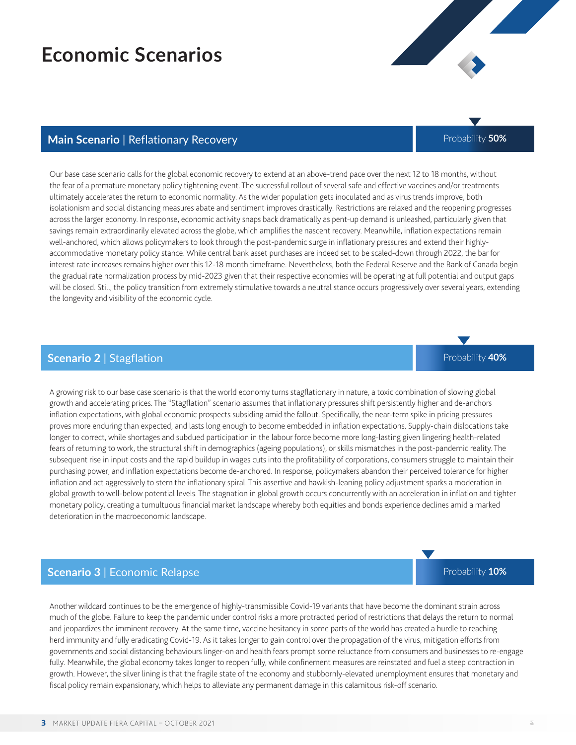### **Economic Scenarios**

Our base case scenario calls for the global economic recovery to extend at an above-trend pace over the next 12 to 18 months, without the fear of a premature monetary policy tightening event. The successful rollout of several safe and effective vaccines and/or treatments ultimately accelerates the return to economic normality. As the wider population gets inoculated and as virus trends improve, both isolationism and social distancing measures abate and sentiment improves drastically. Restrictions are relaxed and the reopening progresses across the larger economy. In response, economic activity snaps back dramatically as pent-up demand is unleashed, particularly given that savings remain extraordinarily elevated across the globe, which amplifies the nascent recovery. Meanwhile, inflation expectations remain well-anchored, which allows policymakers to look through the post-pandemic surge in inflationary pressures and extend their highlyaccommodative monetary policy stance. While central bank asset purchases are indeed set to be scaled-down through 2022, the bar for interest rate increases remains higher over this 12-18 month timeframe. Nevertheless, both the Federal Reserve and the Bank of Canada begin the gradual rate normalization process by mid-2023 given that their respective economies will be operating at full potential and output gaps will be closed. Still, the policy transition from extremely stimulative towards a neutral stance occurs progressively over several years, extending the longevity and visibility of the economic cycle.

**Main Scenario | Reflationary Recovery Probability 50%** Probability 50%

#### **Scenario 2** | Stagflation

A growing risk to our base case scenario is that the world economy turns stagflationary in nature, a toxic combination of slowing global growth and accelerating prices. The "Stagflation" scenario assumes that inflationary pressures shift persistently higher and de-anchors inflation expectations, with global economic prospects subsiding amid the fallout. Specifically, the near-term spike in pricing pressures proves more enduring than expected, and lasts long enough to become embedded in inflation expectations. Supply-chain dislocations take longer to correct, while shortages and subdued participation in the labour force become more long-lasting given lingering health-related fears of returning to work, the structural shift in demographics (ageing populations), or skills mismatches in the post-pandemic reality. The subsequent rise in input costs and the rapid buildup in wages cuts into the profitability of corporations, consumers struggle to maintain their purchasing power, and inflation expectations become de-anchored. In response, policymakers abandon their perceived tolerance for higher inflation and act aggressively to stem the inflationary spiral. This assertive and hawkish-leaning policy adjustment sparks a moderation in global growth to well-below potential levels. The stagnation in global growth occurs concurrently with an acceleration in inflation and tighter monetary policy, creating a tumultuous financial market landscape whereby both equities and bonds experience declines amid a marked deterioration in the macroeconomic landscape.

#### **Scenario 3** | Economic Relapse

Another wildcard continues to be the emergence of highly-transmissible Covid-19 variants that have become the dominant strain across much of the globe. Failure to keep the pandemic under control risks a more protracted period of restrictions that delays the return to normal and jeopardizes the imminent recovery. At the same time, vaccine hesitancy in some parts of the world has created a hurdle to reaching herd immunity and fully eradicating Covid-19. As it takes longer to gain control over the propagation of the virus, mitigation efforts from governments and social distancing behaviours linger-on and health fears prompt some reluctance from consumers and businesses to re-engage fully. Meanwhile, the global economy takes longer to reopen fully, while confinement measures are reinstated and fuel a steep contraction in growth. However, the silver lining is that the fragile state of the economy and stubbornly-elevated unemployment ensures that monetary and fiscal policy remain expansionary, which helps to alleviate any permanent damage in this calamitous risk-off scenario.





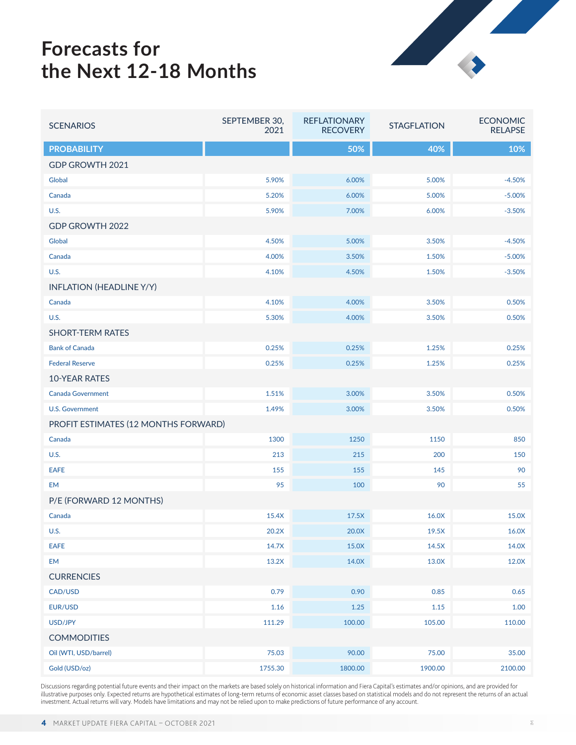### **Forecasts for the Next 12-18 Months**



| <b>SCENARIOS</b>                     | SEPTEMBER 30,<br>2021 | <b>REFLATIONARY</b><br><b>RECOVERY</b> | <b>STAGFLATION</b> | <b>ECONOMIC</b><br><b>RELAPSE</b> |  |  |
|--------------------------------------|-----------------------|----------------------------------------|--------------------|-----------------------------------|--|--|
| <b>PROBABILITY</b>                   |                       | 50%                                    | 40%                | 10%                               |  |  |
| GDP GROWTH 2021                      |                       |                                        |                    |                                   |  |  |
| Global                               | 5.90%                 | 6.00%                                  | 5.00%              | $-4.50%$                          |  |  |
| Canada                               | 5.20%                 | 6.00%                                  | 5.00%              | $-5.00%$                          |  |  |
| <b>U.S.</b>                          | 5.90%                 | 7.00%                                  | 6.00%              | $-3.50%$                          |  |  |
| GDP GROWTH 2022                      |                       |                                        |                    |                                   |  |  |
| Global                               | 4.50%                 | 5.00%                                  | 3.50%              | $-4.50%$                          |  |  |
| Canada                               | 4.00%                 | 3.50%                                  | 1.50%              | $-5.00%$                          |  |  |
| <b>U.S.</b>                          | 4.10%                 | 4.50%                                  | 1.50%              | $-3.50%$                          |  |  |
| <b>INFLATION (HEADLINE Y/Y)</b>      |                       |                                        |                    |                                   |  |  |
| Canada                               | 4.10%                 | 4.00%                                  | 3.50%              | 0.50%                             |  |  |
| <b>U.S.</b>                          | 5.30%                 | 4.00%                                  | 3.50%              | 0.50%                             |  |  |
| <b>SHORT-TERM RATES</b>              |                       |                                        |                    |                                   |  |  |
| <b>Bank of Canada</b>                | 0.25%                 | 0.25%                                  | 1.25%              | 0.25%                             |  |  |
| <b>Federal Reserve</b>               | 0.25%                 | 0.25%                                  | 1.25%              | 0.25%                             |  |  |
| <b>10-YEAR RATES</b>                 |                       |                                        |                    |                                   |  |  |
| <b>Canada Government</b>             | 1.51%                 | 3.00%                                  | 3.50%              | 0.50%                             |  |  |
| <b>U.S. Government</b>               | 1.49%                 | 3.00%                                  | 3.50%              | 0.50%                             |  |  |
| PROFIT ESTIMATES (12 MONTHS FORWARD) |                       |                                        |                    |                                   |  |  |
| Canada                               | 1300                  | 1250                                   | 1150               | 850                               |  |  |
| <b>U.S.</b>                          | 213                   | 215                                    | 200                | 150                               |  |  |
| <b>EAFE</b>                          | 155                   | 155                                    | 145                | 90                                |  |  |
| <b>EM</b>                            | 95                    | 100                                    | 90                 | 55                                |  |  |
| P/E (FORWARD 12 MONTHS)              |                       |                                        |                    |                                   |  |  |
| Canada                               | 15.4X                 | 17.5X                                  | 16.0X              | 15.0X                             |  |  |
| <b>U.S.</b>                          | 20.2X                 | 20.0X                                  | 19.5X              | 16.0X                             |  |  |
| <b>EAFE</b>                          | 14.7X                 | 15.0X                                  | 14.5X              | 14.0X                             |  |  |
| EM                                   | 13.2X                 | 14.0X                                  | 13.0X              | 12.0X                             |  |  |
| <b>CURRENCIES</b>                    |                       |                                        |                    |                                   |  |  |
| CAD/USD                              | 0.79                  | 0.90                                   | 0.85               | 0.65                              |  |  |
| EUR/USD                              | 1.16                  | 1.25                                   | 1.15               | 1.00                              |  |  |
| USD/JPY                              | 111.29                | 100.00                                 | 105.00             | 110.00                            |  |  |
| <b>COMMODITIES</b>                   |                       |                                        |                    |                                   |  |  |
| Oil (WTI, USD/barrel)                | 75.03                 | 90.00                                  | 75.00              | 35.00                             |  |  |
| Gold (USD/oz)                        | 1755.30               | 1800.00                                | 1900.00            | 2100.00                           |  |  |

Discussions regarding potential future events and their impact on the markets are based solely on historical information and Fiera Capital's estimates and/or opinions, and are provided for<br>illustrative purposes only. Expec investment. Actual returns will vary. Models have limitations and may not be relied upon to make predictions of future performance of any account.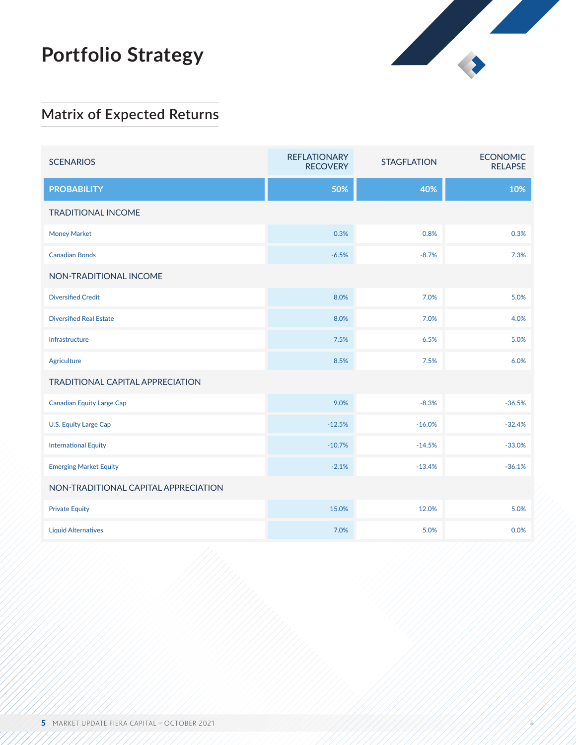## **Portfolio Strategy**



 $\geq$ 

### **Matrix of Expected Returns**

| <b>SCENARIOS</b>                        | <b>REFLATIONARY</b><br><b>RECOVERY</b> | <b>STAGFLATION</b> | <b>ECONOMIC</b><br><b>RELAPSE</b> |  |  |  |
|-----------------------------------------|----------------------------------------|--------------------|-----------------------------------|--|--|--|
| <b>PROBABILITY</b>                      | 50%                                    | 40%                | 10%                               |  |  |  |
| <b>TRADITIONAL INCOME</b>               |                                        |                    |                                   |  |  |  |
| <b>Money Market</b>                     | 0.3%                                   | 0.8%               | 0.3%                              |  |  |  |
| <b>Canadian Bonds</b>                   | $-6.5%$                                | $-8.7%$            | 7.3%                              |  |  |  |
| NON-TRADITIONAL INCOME                  |                                        |                    |                                   |  |  |  |
| <b>Diversified Credit</b>               | 8.0%                                   | 7.0%               | 5.0%                              |  |  |  |
| <b>Diversified Real Estate</b>          | 8.0%                                   | 7.0%               | 4.0%                              |  |  |  |
| Infrastructure                          | 7.5%                                   | 6.5%               | 5.0%                              |  |  |  |
| Agriculture                             | 8.5%                                   | 7.5%               | 6.0%                              |  |  |  |
| <b>TRADITIONAL CAPITAL APPRECIATION</b> |                                        |                    |                                   |  |  |  |
| <b>Canadian Equity Large Cap</b>        | 9.0%                                   | $-8.3%$            | $-36.5%$                          |  |  |  |
| <b>U.S. Equity Large Cap</b>            | $-12.5%$                               | $-16.0%$           | $-32.4%$                          |  |  |  |
| <b>International Equity</b>             | $-10.7%$                               | $-14.5%$           | $-33.0%$                          |  |  |  |
| <b>Emerging Market Equity</b>           | $-2.1%$                                | $-13.4%$           | $-36.1%$                          |  |  |  |
| NON-TRADITIONAL CAPITAL APPRECIATION    |                                        |                    |                                   |  |  |  |
| <b>Private Equity</b>                   | 15.0%                                  | 12.0%              | 5.0%                              |  |  |  |
| <b>Liquid Alternatives</b>              | 7.0%                                   | 5.0%               | 0.0%                              |  |  |  |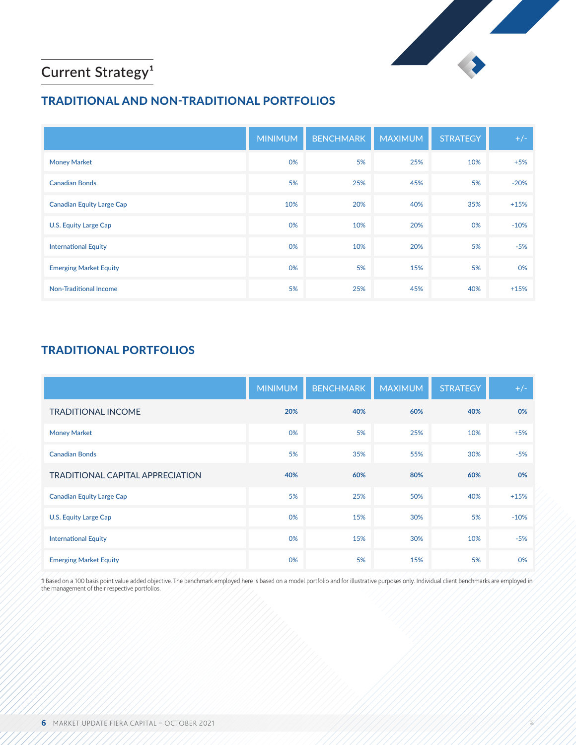

 $\geq$ 

### **Current Strategy<sup>1</sup>**

### TRADITIONAL AND NON-TRADITIONAL PORTFOLIOS

|                                  | <b>MINIMUM</b> | <b>BENCHMARK</b> | <b>MAXIMUM</b> | <b>STRATEGY</b> | $+/-$  |
|----------------------------------|----------------|------------------|----------------|-----------------|--------|
| <b>Money Market</b>              | 0%             | 5%               | 25%            | 10%             | $+5%$  |
| <b>Canadian Bonds</b>            | 5%             | 25%              | 45%            | 5%              | $-20%$ |
| <b>Canadian Equity Large Cap</b> | 10%            | 20%              | 40%            | 35%             | $+15%$ |
| U.S. Equity Large Cap            | 0%             | 10%              | 20%            | 0%              | $-10%$ |
| <b>International Equity</b>      | 0%             | 10%              | 20%            | 5%              | $-5%$  |
| <b>Emerging Market Equity</b>    | 0%             | 5%               | 15%            | 5%              | 0%     |
| <b>Non-Traditional Income</b>    | 5%             | 25%              | 45%            | 40%             | $+15%$ |

### TRADITIONAL PORTFOLIOS

|                                         | <b>MINIMUM</b> | <b>BENCHMARK</b> | <b>MAXIMUM</b> | <b>STRATEGY</b> | $+/-$  |
|-----------------------------------------|----------------|------------------|----------------|-----------------|--------|
| <b>TRADITIONAL INCOME</b>               | 20%            | 40%              | 60%            | 40%             | 0%     |
| <b>Money Market</b>                     | 0%             | 5%               | 25%            | 10%             | $+5%$  |
| <b>Canadian Bonds</b>                   | 5%             | 35%              | 55%            | 30%             | $-5%$  |
| <b>TRADITIONAL CAPITAL APPRECIATION</b> | 40%            | 60%              | 80%            | 60%             | 0%     |
| <b>Canadian Equity Large Cap</b>        | 5%             | 25%              | 50%            | 40%             | $+15%$ |
| <b>U.S. Equity Large Cap</b>            | 0%             | 15%              | 30%            | 5%              | $-10%$ |
| <b>International Equity</b>             | 0%             | 15%              | 30%            | 10%             | $-5%$  |
| <b>Emerging Market Equity</b>           | 0%             | 5%               | 15%            | 5%              | 0%     |

1 Based on a 100 basis point value added objective. The benchmark employed here is based on a model portfolio and for illustrative purposes only. Individual client benchmarks are employed in the management of their respective portfolios.